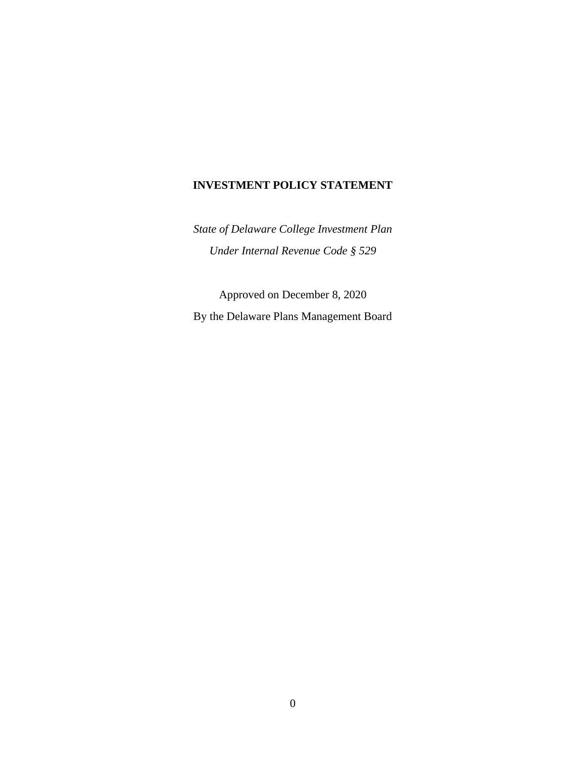### **INVESTMENT POLICY STATEMENT**

*State of Delaware College Investment Plan Under Internal Revenue Code § 529*

Approved on December 8, 2020 By the Delaware Plans Management Board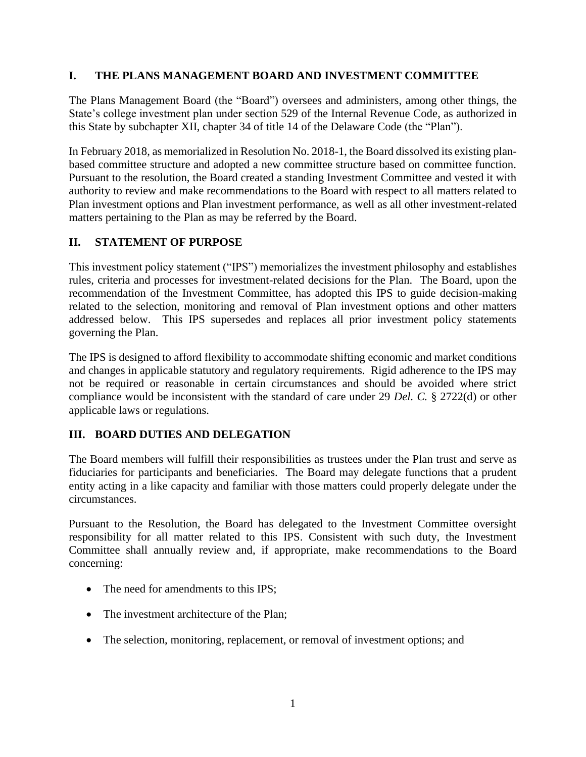## **I. THE PLANS MANAGEMENT BOARD AND INVESTMENT COMMITTEE**

The Plans Management Board (the "Board") oversees and administers, among other things, the State's college investment plan under section 529 of the Internal Revenue Code, as authorized in this State by subchapter XII, chapter 34 of title 14 of the Delaware Code (the "Plan").

In February 2018, as memorialized in Resolution No. 2018-1, the Board dissolved its existing planbased committee structure and adopted a new committee structure based on committee function. Pursuant to the resolution, the Board created a standing Investment Committee and vested it with authority to review and make recommendations to the Board with respect to all matters related to Plan investment options and Plan investment performance, as well as all other investment-related matters pertaining to the Plan as may be referred by the Board.

### **II. STATEMENT OF PURPOSE**

This investment policy statement ("IPS") memorializes the investment philosophy and establishes rules, criteria and processes for investment-related decisions for the Plan. The Board, upon the recommendation of the Investment Committee, has adopted this IPS to guide decision-making related to the selection, monitoring and removal of Plan investment options and other matters addressed below. This IPS supersedes and replaces all prior investment policy statements governing the Plan.

The IPS is designed to afford flexibility to accommodate shifting economic and market conditions and changes in applicable statutory and regulatory requirements. Rigid adherence to the IPS may not be required or reasonable in certain circumstances and should be avoided where strict compliance would be inconsistent with the standard of care under 29 *Del. C.* § 2722(d) or other applicable laws or regulations.

## **III. BOARD DUTIES AND DELEGATION**

The Board members will fulfill their responsibilities as trustees under the Plan trust and serve as fiduciaries for participants and beneficiaries. The Board may delegate functions that a prudent entity acting in a like capacity and familiar with those matters could properly delegate under the circumstances.

Pursuant to the Resolution, the Board has delegated to the Investment Committee oversight responsibility for all matter related to this IPS. Consistent with such duty, the Investment Committee shall annually review and, if appropriate, make recommendations to the Board concerning:

- The need for amendments to this IPS;
- The investment architecture of the Plan;
- The selection, monitoring, replacement, or removal of investment options; and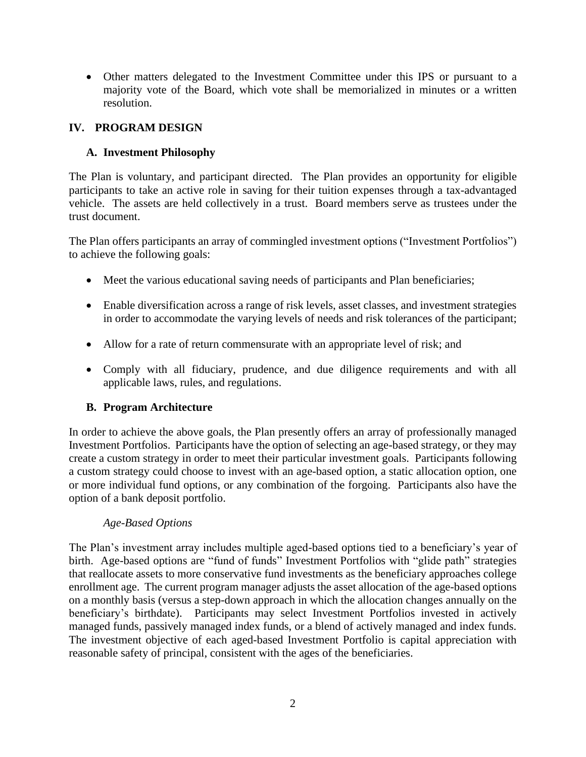• Other matters delegated to the Investment Committee under this IPS or pursuant to a majority vote of the Board, which vote shall be memorialized in minutes or a written resolution.

# **IV. PROGRAM DESIGN**

# **A. Investment Philosophy**

The Plan is voluntary, and participant directed. The Plan provides an opportunity for eligible participants to take an active role in saving for their tuition expenses through a tax-advantaged vehicle. The assets are held collectively in a trust. Board members serve as trustees under the trust document.

The Plan offers participants an array of commingled investment options ("Investment Portfolios") to achieve the following goals:

- Meet the various educational saving needs of participants and Plan beneficiaries;
- Enable diversification across a range of risk levels, asset classes, and investment strategies in order to accommodate the varying levels of needs and risk tolerances of the participant;
- Allow for a rate of return commensurate with an appropriate level of risk; and
- Comply with all fiduciary, prudence, and due diligence requirements and with all applicable laws, rules, and regulations.

## **B. Program Architecture**

In order to achieve the above goals, the Plan presently offers an array of professionally managed Investment Portfolios. Participants have the option of selecting an age-based strategy, or they may create a custom strategy in order to meet their particular investment goals. Participants following a custom strategy could choose to invest with an age-based option, a static allocation option, one or more individual fund options, or any combination of the forgoing. Participants also have the option of a bank deposit portfolio.

## *Age-Based Options*

The Plan's investment array includes multiple aged-based options tied to a beneficiary's year of birth. Age-based options are "fund of funds" Investment Portfolios with "glide path" strategies that reallocate assets to more conservative fund investments as the beneficiary approaches college enrollment age. The current program manager adjusts the asset allocation of the age-based options on a monthly basis (versus a step-down approach in which the allocation changes annually on the beneficiary's birthdate). Participants may select Investment Portfolios invested in actively managed funds, passively managed index funds, or a blend of actively managed and index funds. The investment objective of each aged-based Investment Portfolio is capital appreciation with reasonable safety of principal, consistent with the ages of the beneficiaries.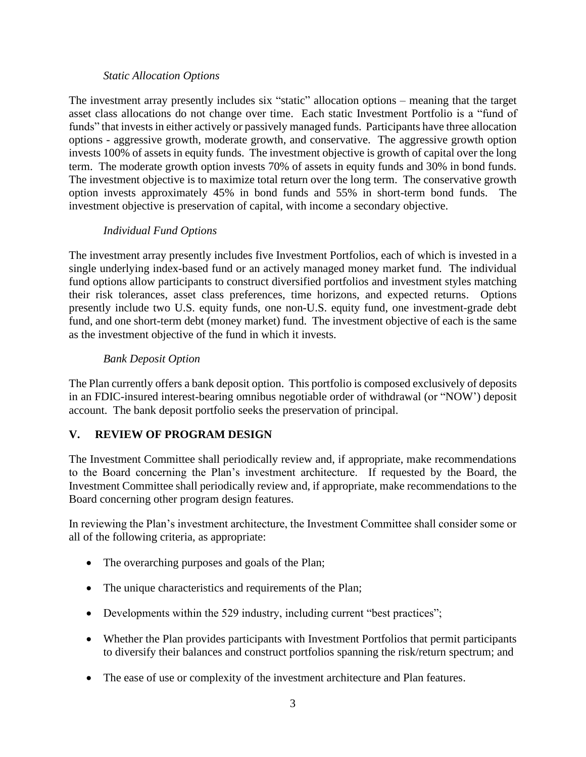#### *Static Allocation Options*

The investment array presently includes six "static" allocation options – meaning that the target asset class allocations do not change over time. Each static Investment Portfolio is a "fund of funds" that invests in either actively or passively managed funds. Participants have three allocation options - aggressive growth, moderate growth, and conservative. The aggressive growth option invests 100% of assets in equity funds. The investment objective is growth of capital over the long term. The moderate growth option invests 70% of assets in equity funds and 30% in bond funds. The investment objective is to maximize total return over the long term. The conservative growth option invests approximately 45% in bond funds and 55% in short-term bond funds. The investment objective is preservation of capital, with income a secondary objective.

## *Individual Fund Options*

The investment array presently includes five Investment Portfolios, each of which is invested in a single underlying index-based fund or an actively managed money market fund. The individual fund options allow participants to construct diversified portfolios and investment styles matching their risk tolerances, asset class preferences, time horizons, and expected returns. Options presently include two U.S. equity funds, one non-U.S. equity fund, one investment-grade debt fund, and one short-term debt (money market) fund. The investment objective of each is the same as the investment objective of the fund in which it invests.

# *Bank Deposit Option*

The Plan currently offers a bank deposit option. This portfolio is composed exclusively of deposits in an FDIC-insured interest-bearing omnibus negotiable order of withdrawal (or "NOW') deposit account. The bank deposit portfolio seeks the preservation of principal.

# **V. REVIEW OF PROGRAM DESIGN**

The Investment Committee shall periodically review and, if appropriate, make recommendations to the Board concerning the Plan's investment architecture. If requested by the Board, the Investment Committee shall periodically review and, if appropriate, make recommendations to the Board concerning other program design features.

In reviewing the Plan's investment architecture, the Investment Committee shall consider some or all of the following criteria, as appropriate:

- The overarching purposes and goals of the Plan;
- The unique characteristics and requirements of the Plan;
- Developments within the 529 industry, including current "best practices";
- Whether the Plan provides participants with Investment Portfolios that permit participants to diversify their balances and construct portfolios spanning the risk/return spectrum; and
- The ease of use or complexity of the investment architecture and Plan features.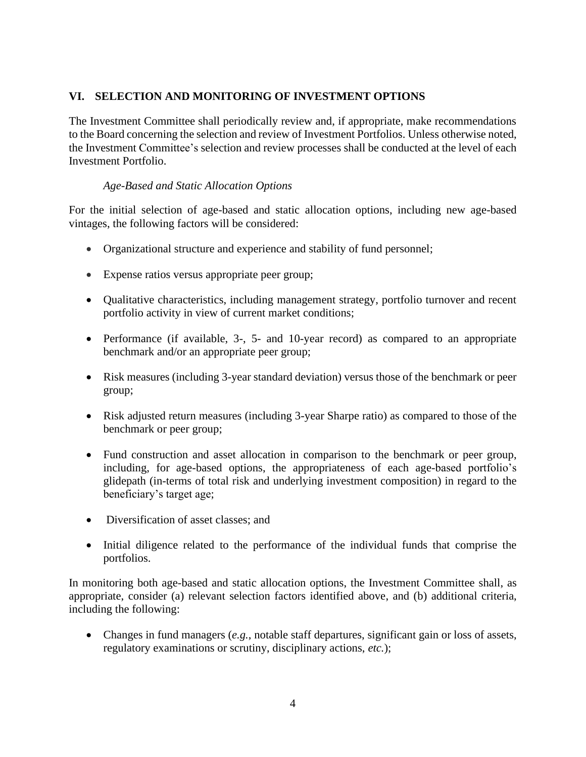## **VI. SELECTION AND MONITORING OF INVESTMENT OPTIONS**

The Investment Committee shall periodically review and, if appropriate, make recommendations to the Board concerning the selection and review of Investment Portfolios. Unless otherwise noted, the Investment Committee's selection and review processes shall be conducted at the level of each Investment Portfolio.

### *Age-Based and Static Allocation Options*

For the initial selection of age-based and static allocation options, including new age-based vintages, the following factors will be considered:

- Organizational structure and experience and stability of fund personnel;
- Expense ratios versus appropriate peer group;
- Qualitative characteristics, including management strategy, portfolio turnover and recent portfolio activity in view of current market conditions;
- Performance (if available, 3-, 5- and 10-year record) as compared to an appropriate benchmark and/or an appropriate peer group;
- Risk measures (including 3-year standard deviation) versus those of the benchmark or peer group;
- Risk adjusted return measures (including 3-year Sharpe ratio) as compared to those of the benchmark or peer group;
- Fund construction and asset allocation in comparison to the benchmark or peer group, including, for age-based options, the appropriateness of each age-based portfolio's glidepath (in-terms of total risk and underlying investment composition) in regard to the beneficiary's target age;
- Diversification of asset classes: and
- Initial diligence related to the performance of the individual funds that comprise the portfolios.

In monitoring both age-based and static allocation options, the Investment Committee shall, as appropriate, consider (a) relevant selection factors identified above, and (b) additional criteria, including the following:

• Changes in fund managers (*e.g.*, notable staff departures, significant gain or loss of assets, regulatory examinations or scrutiny, disciplinary actions, *etc.*);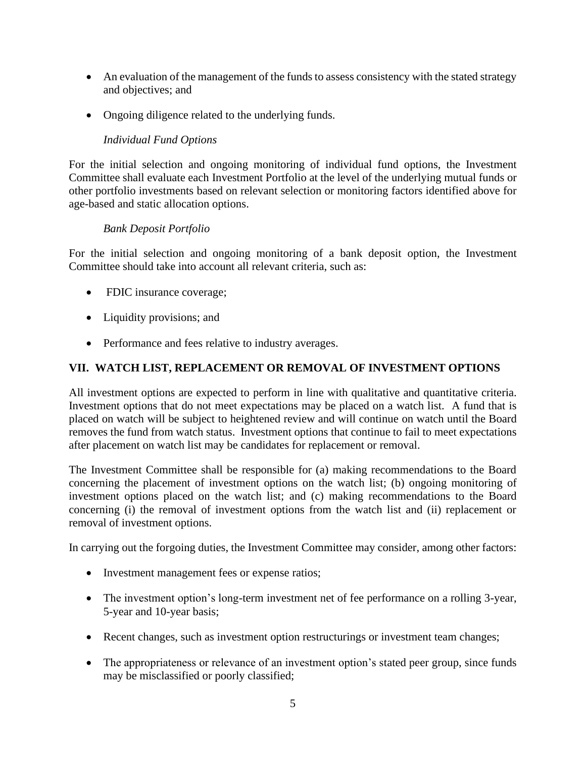- An evaluation of the management of the funds to assess consistency with the stated strategy and objectives; and
- Ongoing diligence related to the underlying funds.

# *Individual Fund Options*

For the initial selection and ongoing monitoring of individual fund options, the Investment Committee shall evaluate each Investment Portfolio at the level of the underlying mutual funds or other portfolio investments based on relevant selection or monitoring factors identified above for age-based and static allocation options.

## *Bank Deposit Portfolio*

For the initial selection and ongoing monitoring of a bank deposit option, the Investment Committee should take into account all relevant criteria, such as:

- FDIC insurance coverage;
- Liquidity provisions; and
- Performance and fees relative to industry averages.

## **VII. WATCH LIST, REPLACEMENT OR REMOVAL OF INVESTMENT OPTIONS**

All investment options are expected to perform in line with qualitative and quantitative criteria. Investment options that do not meet expectations may be placed on a watch list. A fund that is placed on watch will be subject to heightened review and will continue on watch until the Board removes the fund from watch status. Investment options that continue to fail to meet expectations after placement on watch list may be candidates for replacement or removal.

The Investment Committee shall be responsible for (a) making recommendations to the Board concerning the placement of investment options on the watch list; (b) ongoing monitoring of investment options placed on the watch list; and (c) making recommendations to the Board concerning (i) the removal of investment options from the watch list and (ii) replacement or removal of investment options.

In carrying out the forgoing duties, the Investment Committee may consider, among other factors:

- Investment management fees or expense ratios;
- The investment option's long-term investment net of fee performance on a rolling 3-year, 5-year and 10-year basis;
- Recent changes, such as investment option restructurings or investment team changes;
- The appropriateness or relevance of an investment option's stated peer group, since funds may be misclassified or poorly classified;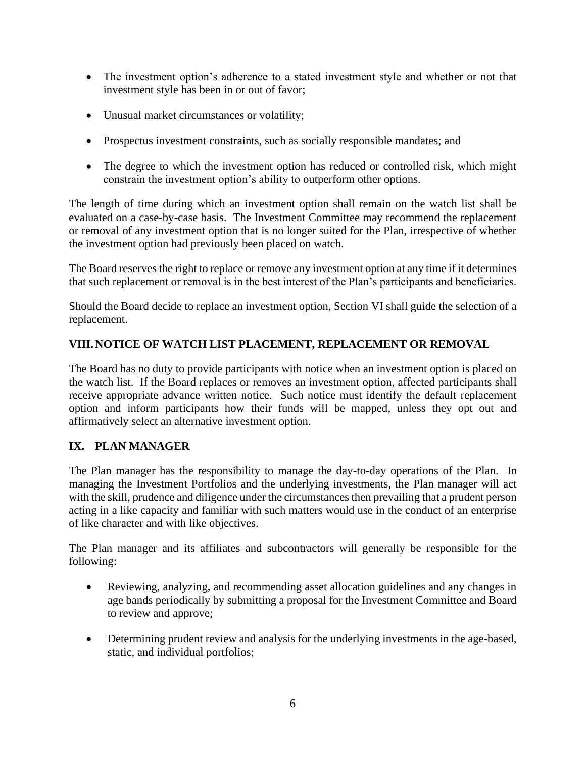- The investment option's adherence to a stated investment style and whether or not that investment style has been in or out of favor;
- Unusual market circumstances or volatility;
- Prospectus investment constraints, such as socially responsible mandates; and
- The degree to which the investment option has reduced or controlled risk, which might constrain the investment option's ability to outperform other options.

The length of time during which an investment option shall remain on the watch list shall be evaluated on a case-by-case basis. The Investment Committee may recommend the replacement or removal of any investment option that is no longer suited for the Plan, irrespective of whether the investment option had previously been placed on watch.

The Board reserves the right to replace or remove any investment option at any time if it determines that such replacement or removal is in the best interest of the Plan's participants and beneficiaries.

Should the Board decide to replace an investment option, Section VI shall guide the selection of a replacement.

## **VIII.NOTICE OF WATCH LIST PLACEMENT, REPLACEMENT OR REMOVAL**

The Board has no duty to provide participants with notice when an investment option is placed on the watch list. If the Board replaces or removes an investment option, affected participants shall receive appropriate advance written notice. Such notice must identify the default replacement option and inform participants how their funds will be mapped, unless they opt out and affirmatively select an alternative investment option.

## **IX. PLAN MANAGER**

The Plan manager has the responsibility to manage the day-to-day operations of the Plan. In managing the Investment Portfolios and the underlying investments, the Plan manager will act with the skill, prudence and diligence under the circumstances then prevailing that a prudent person acting in a like capacity and familiar with such matters would use in the conduct of an enterprise of like character and with like objectives.

The Plan manager and its affiliates and subcontractors will generally be responsible for the following:

- Reviewing, analyzing, and recommending asset allocation guidelines and any changes in age bands periodically by submitting a proposal for the Investment Committee and Board to review and approve;
- Determining prudent review and analysis for the underlying investments in the age-based, static, and individual portfolios;